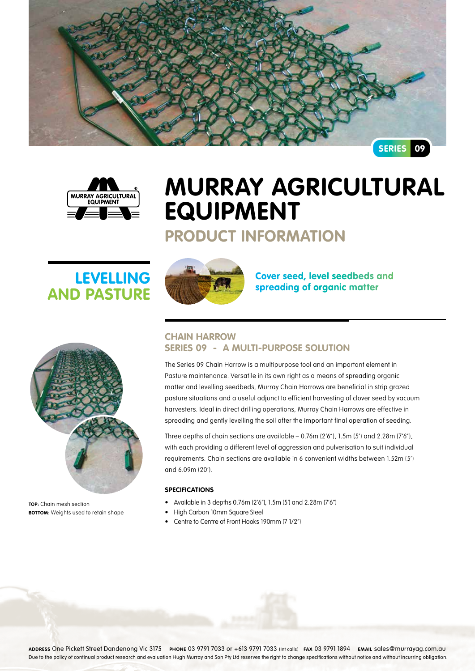



# **Murray Agricultural Equipment**

# **Product Information**

# **Levelling and Pasture**



**TOP:** Chain mesh section **BOTTOM:** Weights used to retain shape



**Cover seed, level seedbeds and spreading of organic matter**

### **Chain Harrow Series 09 - A multi-purpose solution**

The Series 09 Chain Harrow is a multipurpose tool and an important element in Pasture maintenance. Versatile in its own right as a means of spreading organic matter and levelling seedbeds, Murray Chain Harrows are beneficial in strip grazed pasture situations and a useful adjunct to efficient harvesting of clover seed by vacuum harvesters. Ideal in direct drilling operations, Murray Chain Harrows are effective in spreading and gently levelling the soil after the important final operation of seeding.

Three depths of chain sections are available – 0.76m (2'6"), 1.5m (5') and 2.28m (7'6"), with each providing a different level of aggression and pulverisation to suit individual requirements. Chain sections are available in 6 convenient widths between 1.52m (5') and 6.09m (20').

#### **Specifications**

- Available in 3 depths  $0.76$ m ( $2'6''$ ),  $1.5$ m ( $5'$ ) and  $2.28$ m ( $7'6''$ )
- **High Carbon 10mm Square Steel**
- • Centre to Centre of Front Hooks 190mm (7 1/2")

**Address** One Pickett Street Dandenong Vic 3175 **Phone** 03 9791 7033 or +613 9791 7033 (Int calls) **Fax** 03 9791 1894 **Email** sales@murrayag.com.au Due to the policy of continual product research and evaluation Hugh Murray and Son Pty Ltd reserves the right to change specifications without notice and without incurring obligation.